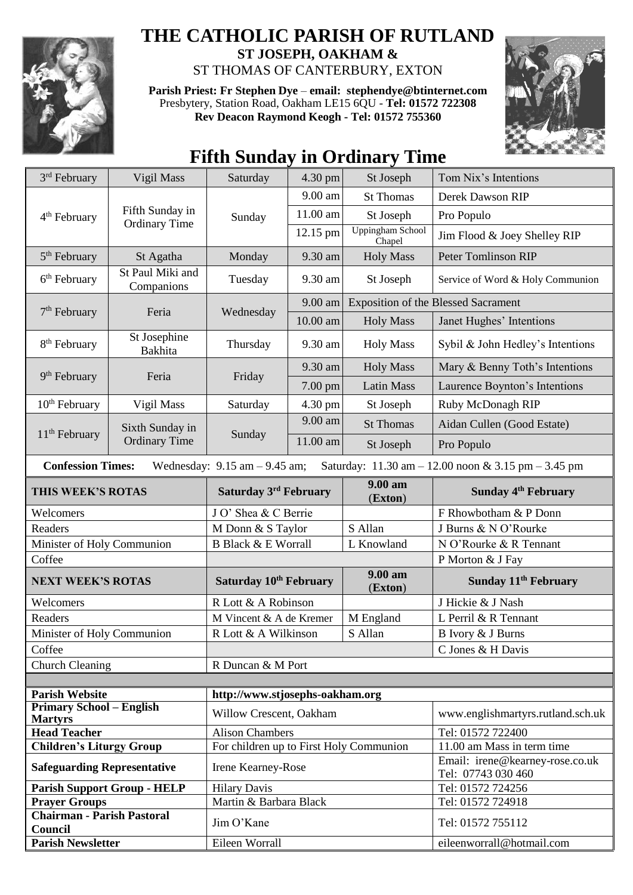

## **THE CATHOLIC PARISH OF RUTLAND**

**ST JOSEPH, OAKHAM &**  ST THOMAS OF CANTERBURY, EXTON

**Parish Priest: Fr Stephen Dye** – **[email: stephendye@btinternet.com](mailto:email:%20%20stephendye@btinternet.com)** Presbytery, Station Road, Oakham LE15 6QU - **Tel: 01572 722308 Rev Deacon Raymond Keogh - Tel: 01572 755360**



## **Fifth Sunday in Ordinary Time**

| 3rd February                                                                                                                                           | Vigil Mass                              | Saturday                                | 4.30 pm             | St Joseph                         | Tom Nix's Intentions                                  |  |
|--------------------------------------------------------------------------------------------------------------------------------------------------------|-----------------------------------------|-----------------------------------------|---------------------|-----------------------------------|-------------------------------------------------------|--|
| 4 <sup>th</sup> February                                                                                                                               | Fifth Sunday in<br><b>Ordinary Time</b> | Sunday                                  | 9.00 am             | <b>St Thomas</b>                  | Derek Dawson RIP                                      |  |
|                                                                                                                                                        |                                         |                                         | $11.00~\mathrm{am}$ | St Joseph                         | Pro Populo                                            |  |
|                                                                                                                                                        |                                         |                                         | 12.15 pm            | <b>Uppingham School</b><br>Chapel | Jim Flood & Joey Shelley RIP                          |  |
| 5 <sup>th</sup> February                                                                                                                               | St Agatha                               | Monday                                  | 9.30 am             | <b>Holy Mass</b>                  | <b>Peter Tomlinson RIP</b>                            |  |
| $6th$ February                                                                                                                                         | St Paul Miki and<br>Companions          | Tuesday                                 | 9.30 am             | St Joseph                         | Service of Word & Holy Communion                      |  |
| 7 <sup>th</sup> February                                                                                                                               | Feria                                   | Wednesday                               | $9.00$ am           |                                   | <b>Exposition of the Blessed Sacrament</b>            |  |
|                                                                                                                                                        |                                         |                                         | 10.00 am            | <b>Holy Mass</b>                  | Janet Hughes' Intentions                              |  |
| 8 <sup>th</sup> February                                                                                                                               | St Josephine<br>Bakhita                 | Thursday                                | 9.30 am             | <b>Holy Mass</b>                  | Sybil & John Hedley's Intentions                      |  |
| 9 <sup>th</sup> February                                                                                                                               | Feria                                   | Friday                                  | 9.30 am             | <b>Holy Mass</b>                  | Mary & Benny Toth's Intentions                        |  |
|                                                                                                                                                        |                                         |                                         | 7.00 pm             | <b>Latin Mass</b>                 | Laurence Boynton's Intentions                         |  |
| $10th$ February                                                                                                                                        | Vigil Mass                              | Saturday                                | 4.30 pm             | St Joseph                         | Ruby McDonagh RIP                                     |  |
|                                                                                                                                                        | Sixth Sunday in<br><b>Ordinary Time</b> | Sunday                                  | 9.00 am             | <b>St Thomas</b>                  | Aidan Cullen (Good Estate)                            |  |
| $11th$ February                                                                                                                                        |                                         |                                         | 11.00 am            | St Joseph                         | Pro Populo                                            |  |
| <b>Confession Times:</b><br>Wednesday: $9.15$ am $-9.45$ am;<br>Saturday: $11.30 \text{ am} - 12.00 \text{ noon} \& 3.15 \text{ pm} - 3.45 \text{ pm}$ |                                         |                                         |                     |                                   |                                                       |  |
| THIS WEEK'S ROTAS                                                                                                                                      |                                         | Saturday 3rd February                   |                     | $9.00 a$ m<br>(Exton)             | Sunday 4 <sup>th</sup> February                       |  |
| Welcomers                                                                                                                                              |                                         | J O' Shea & C Berrie                    |                     |                                   | F Rhowbotham & P Donn                                 |  |
| Readers                                                                                                                                                |                                         | M Donn & S Taylor                       |                     | S Allan                           | J Burns & N O'Rourke                                  |  |
| Minister of Holy Communion                                                                                                                             |                                         | <b>B Black &amp; E Worrall</b>          |                     | L Knowland                        | N O'Rourke & R Tennant                                |  |
| Coffee                                                                                                                                                 |                                         |                                         |                     |                                   | P Morton & J Fay                                      |  |
| <b>NEXT WEEK'S ROTAS</b>                                                                                                                               |                                         | Saturday 10th February                  |                     | 9.00 am<br>(Exton)                | Sunday 11 <sup>th</sup> February                      |  |
| Welcomers                                                                                                                                              |                                         | R Lott & A Robinson                     |                     |                                   | J Hickie & J Nash                                     |  |
| Readers                                                                                                                                                |                                         | M Vincent & A de Kremer                 |                     | M England                         | L Perril & R Tennant                                  |  |
| Minister of Holy Communion                                                                                                                             |                                         | S Allan<br>R Lott & A Wilkinson         |                     |                                   | B Ivory & J Burns                                     |  |
| Coffee                                                                                                                                                 |                                         |                                         |                     |                                   | C Jones & H Davis                                     |  |
| <b>Church Cleaning</b>                                                                                                                                 |                                         | R Duncan & M Port                       |                     |                                   |                                                       |  |
|                                                                                                                                                        |                                         |                                         |                     |                                   |                                                       |  |
| <b>Parish Website</b>                                                                                                                                  |                                         | http://www.stjosephs-oakham.org         |                     |                                   |                                                       |  |
| <b>Primary School - English</b><br><b>Martyrs</b>                                                                                                      |                                         | Willow Crescent, Oakham                 |                     |                                   | www.englishmartyrs.rutland.sch.uk                     |  |
| <b>Head Teacher</b>                                                                                                                                    |                                         | <b>Alison Chambers</b>                  |                     |                                   | Tel: 01572 722400                                     |  |
| <b>Children's Liturgy Group</b>                                                                                                                        |                                         | For children up to First Holy Communion |                     |                                   | 11.00 am Mass in term time                            |  |
| <b>Safeguarding Representative</b>                                                                                                                     |                                         | Irene Kearney-Rose                      |                     |                                   | Email: irene@kearney-rose.co.uk<br>Tel: 07743 030 460 |  |
| <b>Parish Support Group - HELP</b>                                                                                                                     |                                         | <b>Hilary Davis</b>                     |                     |                                   | Tel: 01572 724256                                     |  |
| <b>Prayer Groups</b>                                                                                                                                   |                                         | Martin & Barbara Black                  |                     |                                   | Tel: 01572 724918                                     |  |
| <b>Chairman - Parish Pastoral</b><br>Council                                                                                                           |                                         | Jim O'Kane                              |                     |                                   | Tel: 01572 755112                                     |  |
| <b>Parish Newsletter</b>                                                                                                                               |                                         | Eileen Worrall                          |                     |                                   | eileenworrall@hotmail.com                             |  |